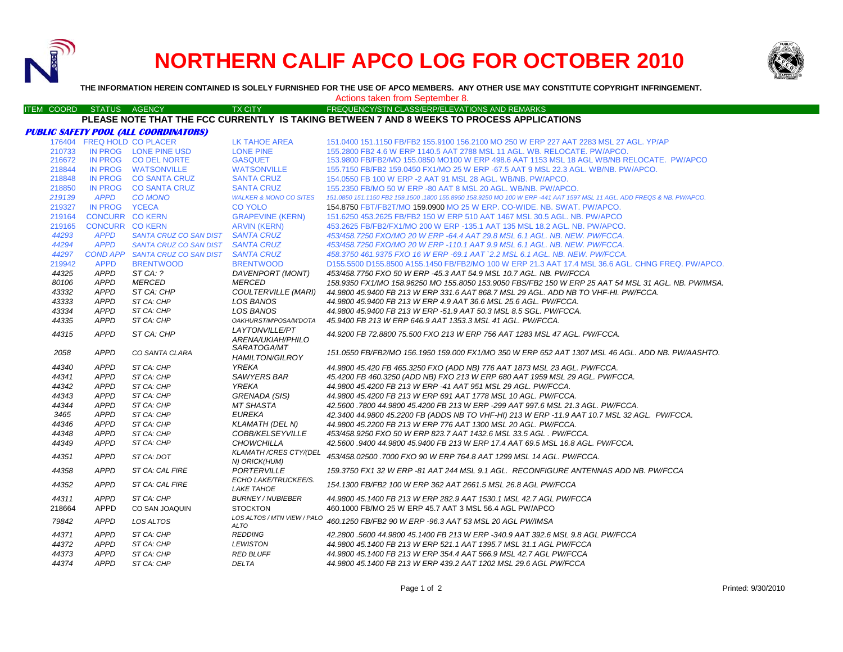

# **NORTHERN CALIF APCO LOG FOR OCTOBER 2010**



**THE INFORMATION HEREIN CONTAINED IS SOLELY FURNISHED FOR THE USE OF APCO MEMBERS. ANY OTHER USE MAY CONSTITUTE COPYRIGHT INFRINGEMENT.**

|                   |                            |                                              |                                                | Actions taken from September 8.                                                                                        |
|-------------------|----------------------------|----------------------------------------------|------------------------------------------------|------------------------------------------------------------------------------------------------------------------------|
| <b>ITEM COORD</b> | STATUS AGENCY              |                                              | <b>TX CITY</b>                                 | FREQUENCY/STN CLASS/ERP/ELEVATIONS AND REMARKS                                                                         |
|                   |                            |                                              |                                                | PLEASE NOTE THAT THE FCC CURRENTLY IS TAKING BETWEEN 7 AND 8 WEEKS TO PROCESS APPLICATIONS                             |
|                   |                            | <b>PUBLIC SAFETY POOL (ALL COORDINATORS)</b> |                                                |                                                                                                                        |
|                   | 176404 FREQ HOLD CO PLACER |                                              | LK TAHOE AREA                                  | 151.0400 151.1150 FB/FB2 155.9100 156.2100 MO 250 W ERP 227 AAT 2283 MSL 27 AGL. YP/AP                                 |
| 210733            |                            | IN PROG LONE PINE USD                        | <b>LONE PINE</b>                               | 155.2800 FB2 4.6 W ERP 1140.5 AAT 2788 MSL 11 AGL. WB. RELOCATE. PW/APCO.                                              |
| 216672            |                            | IN PROG CO DEL NORTE                         | <b>GASQUET</b>                                 | 153.9800 FB/FB2/MO 155.0850 MO100 W ERP 498.6 AAT 1153 MSL 18 AGL WB/NB RELOCATE. PW/APCO                              |
| 218844            |                            | IN PROG WATSONVILLE                          | <b>WATSONVILLE</b>                             | 155,7150 FB/FB2 159,0450 FX1/MO 25 W ERP -67.5 AAT 9 MSL 22.3 AGL, WB/NB, PW/APCO,                                     |
| 218848            |                            | IN PROG CO SANTA CRUZ                        | <b>SANTA CRUZ</b>                              | 154,0550 FB 100 W ERP -2 AAT 91 MSL 28 AGL, WB/NB, PW/APCO,                                                            |
| 218850            |                            | IN PROG CO SANTA CRUZ                        | <b>SANTA CRUZ</b>                              | 155,2350 FB/MO 50 W ERP -80 AAT 8 MSL 20 AGL, WB/NB, PW/APCO,                                                          |
| 219139            | <b>APPD</b>                | <b>CO MONO</b>                               | <b>WALKER &amp; MONO CO SITES</b>              | 151.0850 151.1150 FB2 159.1500 .1800 155.8950 158.9250 MO 100 W ERP -441 AAT 1597 MSL 11 AGL. ADD FREQS & NB. PW/APCO. |
| 219327            | IN PROG YCECA              |                                              | <b>CO YOLO</b>                                 | 154.8750 FBT/FB2T/MO 159.0900 MO 25 W ERP. CO-WIDE. NB. SWAT. PW/APCO.                                                 |
| 219164            | <b>CONCURR CO KERN</b>     |                                              | <b>GRAPEVINE (KERN)</b>                        | 151.6250 453.2625 FB/FB2 150 W ERP 510 AAT 1467 MSL 30.5 AGL. NB. PW/APCO                                              |
| 219165            | <b>CONCURR CO KERN</b>     |                                              | <b>ARVIN (KERN)</b>                            | 453.2625 FB/FB2/FX1/MO 200 W ERP -135.1 AAT 135 MSL 18.2 AGL, NB, PW/APCO,                                             |
| 44293             | <b>APPD</b>                | SANTA CRUZ CO SAN DIST SANTA CRUZ            |                                                | 453/458.7250 FXO/MO 20 W ERP -64.4 AAT 29.8 MSL 6.1 AGL. NB. NEW. PW/FCCA.                                             |
| 44294             | <b>APPD</b>                | SANTA CRUZ CO SAN DIST                       | <b>SANTA CRUZ</b>                              | 453/458.7250 FXO/MO 20 W ERP -110.1 AAT 9.9 MSL 6.1 AGL. NB. NEW. PW/FCCA.                                             |
| 44297             |                            | COND APP SANTA CRUZ CO SAN DIST              | <b>SANTA CRUZ</b>                              | 458.3750 461.9375 FXO 16 W ERP -69.1 AAT `2.2 MSL 6.1 AGL. NB. NEW. PW/FCCA.                                           |
| 219942            | <b>APPD</b>                | <b>BRENTWOOD</b>                             | <b>BRENTWOOD</b>                               | D155.5500 D155.8500 A155.1450 FB/FB2/MO 100 W ERP 21.3 AAT 17.4 MSL 36.6 AGL. CHNG FREQ. PW/APCO.                      |
| 44325             | <b>APPD</b>                | ST CA: ?                                     | DAVENPORT (MONT)                               | 453/458.7750 FXO 50 W ERP -45.3 AAT 54.9 MSL 10.7 AGL. NB. PW/FCCA                                                     |
| 80106             | APPD                       | <b>MERCED</b>                                | <i>MERCED</i>                                  | 158.9350 FX1/MO 158.96250 MO 155.8050 153.9050 FBS/FB2 150 W ERP 25 AAT 54 MSL 31 AGL. NB. PW/IMSA.                    |
| 43332             | APPD                       | ST CA: CHP                                   | <b>COULTERVILLE (MARI)</b>                     | 44.9800 45.9400 FB 213 W ERP 331.6 AAT 868.7 MSL 29 AGL. ADD NB TO VHF-HI. PW/FCCA.                                    |
| 43333             | <b>APPD</b>                | ST CA: CHP                                   | LOS BANOS                                      | 44.9800 45.9400 FB 213 W ERP 4.9 AAT 36.6 MSL 25.6 AGL. PW/FCCA.                                                       |
| 43334             | <b>APPD</b>                | ST CA: CHP                                   | <b>LOS BANOS</b>                               | 44.9800 45.9400 FB 213 W ERP -51.9 AAT 50.3 MSL 8.5 SGL, PW/FCCA.                                                      |
| 44335             | <b>APPD</b>                | ST CA: CHP                                   | OAKHURST/M'POSA/M'DOTA                         | 45.9400 FB 213 W ERP 646.9 AAT 1353.3 MSL 41 AGL. PW/FCCA.                                                             |
|                   | <b>APPD</b>                |                                              | LAYTONVILLE/PT                                 |                                                                                                                        |
| 44315             |                            | ST CA: CHP                                   | ARENA/UKIAH/PHILO                              | 44.9200 FB 72.8800 75.500 FXO 213 W ERP 756 AAT 1283 MSL 47 AGL. PW/FCCA.                                              |
|                   |                            |                                              | SARATOGA/MT                                    |                                                                                                                        |
| 2058              | <b>APPD</b>                | CO SANTA CLARA                               | <b>HAMILTON/GILROY</b>                         | 151.0550 FB/FB2/MO 156.1950 159.000 FX1/MO 350 W ERP 652 AAT 1307 MSL 46 AGL. ADD NB. PW/AASHTO.                       |
| 44340             | <b>APPD</b>                | ST CA: CHP                                   | YREKA                                          | 44.9800 45.420 FB 465.3250 FXO (ADD NB) 776 AAT 1873 MSL 23 AGL. PW/FCCA.                                              |
| 44341             | APPD                       | ST CA: CHP                                   | <b>SAWYERS BAR</b>                             | 45.4200 FB 460.3250 (ADD NB) FXO 213 W ERP 680 AAT 1959 MSL 29 AGL. PW/FCCA.                                           |
| 44342             | <b>APPD</b>                | ST CA: CHP                                   | <b>YREKA</b>                                   | 44.9800 45.4200 FB 213 W ERP -41 AAT 951 MSL 29 AGL. PW/FCCA.                                                          |
| 44343             | APPD                       | ST CA: CHP                                   | GRENADA (SIS)                                  | 44.9800 45.4200 FB 213 W ERP 691 AAT 1778 MSL 10 AGL. PW/FCCA.                                                         |
| 44344             | <b>APPD</b>                | ST CA: CHP                                   | <b>MT SHASTA</b>                               | 42.5600 .7800 44.9800 45.4200 FB 213 W ERP -299 AAT 997.6 MSL 21.3 AGL. PW/FCCA.                                       |
| 3465              | <b>APPD</b>                | ST CA: CHP                                   | <b>EUREKA</b>                                  | 42.3400 44.9800 45.2200 FB (ADDS NB TO VHF-HI) 213 W ERP -11.9 AAT 10.7 MSL 32 AGL. PW/FCCA.                           |
| 44346             | <b>APPD</b>                | ST CA: CHP                                   | <b>KLAMATH (DEL N)</b>                         | 44.9800 45.2200 FB 213 W ERP 776 AAT 1300 MSL 20 AGL. PW/FCCA.                                                         |
| 44348             | <b>APPD</b>                | ST CA: CHP                                   | COBB/KELSEYVILLE                               | 453/458.9250 FXO 50 W ERP 823.7 AAT 1432.6 MSL 33.5 AGL . PW/FCCA.                                                     |
| 44349             | <b>APPD</b>                | ST CA: CHP                                   | <b>CHOWCHILLA</b>                              | 42.5600 .9400 44.9800 45.9400 FB 213 W ERP 17.4 AAT 69.5 MSL 16.8 AGL. PW/FCCA.                                        |
| 44351             | <b>APPD</b>                | ST CA: DOT                                   | <b>KLAMATH /CRES CTY/(DEL</b><br>N) ORICK(HUM) | 453/458.02500,7000 FXO 90 W ERP 764.8 AAT 1299 MSL 14 AGL, PW/FCCA.                                                    |
| 44358             | <b>APPD</b>                | ST CA: CAL FIRE                              | <b>PORTERVILLE</b>                             | 159.3750 FX1 32 W ERP -81 AAT 244 MSL 9.1 AGL. RECONFIGURE ANTENNAS ADD NB. PW/FCCA                                    |
| 44352             | <b>APPD</b>                | ST CA: CAL FIRE                              | ECHO LAKE/TRUCKEE/S.                           | 154.1300 FB/FB2 100 W ERP 362 AAT 2661.5 MSL 26.8 AGL PW/FCCA                                                          |
|                   |                            |                                              | <b>LAKE TAHOE</b>                              |                                                                                                                        |
| 44311             | <b>APPD</b>                | ST CA: CHP                                   | <b>BURNEY / NUBIEBER</b>                       | 44.9800 45.1400 FB 213 W ERP 282.9 AAT 1530.1 MSL 42.7 AGL PW/FCCA                                                     |
| 218664            | <b>APPD</b>                | CO SAN JOAQUIN                               | <b>STOCKTON</b>                                | 460,1000 FB/MO 25 W ERP 45.7 AAT 3 MSL 56.4 AGL PW/APCO                                                                |
| 79842             | <b>APPD</b>                | <b>LOS ALTOS</b>                             | LOS ALTOS / MTN VIEW / PALO<br><b>ALTO</b>     | 460.1250 FB/FB2 90 W ERP -96.3 AAT 53 MSL 20 AGL PW/IMSA                                                               |
| 44371             | <b>APPD</b>                | ST CA: CHP                                   | <b>REDDING</b>                                 | 42.2800 .5600 44.9800 45.1400 FB 213 W ERP -340.9 AAT 392.6 MSL 9.8 AGL PW/FCCA                                        |
| 44372             | <b>APPD</b>                | ST CA: CHP                                   | <b>LEWISTON</b>                                | 44.9800 45.1400 FB 213 W ERP 521.1 AAT 1395.7 MSL 31.1 AGL PW/FCCA                                                     |
| 44373             | <b>APPD</b>                | ST CA: CHP                                   | <b>RED BLUFF</b>                               | 44.9800 45.1400 FB 213 W ERP 354.4 AAT 566.9 MSL 42.7 AGL PW/FCCA                                                      |
| 44374             | <b>APPD</b>                | ST CA: CHP                                   | <b>DELTA</b>                                   | 44.9800 45.1400 FB 213 W ERP 439.2 AAT 1202 MSL 29.6 AGL PW/FCCA                                                       |